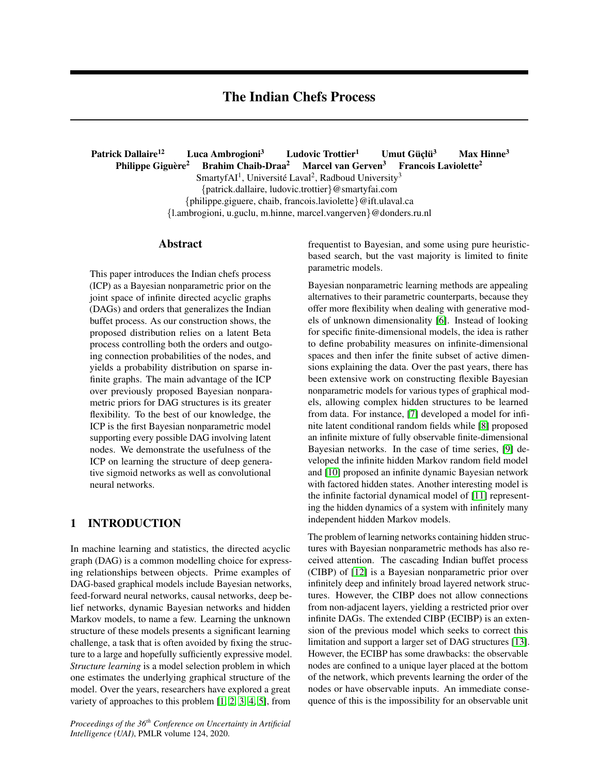# The Indian Chefs Process

Patrick Dallaire<sup>12</sup> Luca Ambrogioni<sup>3</sup> Ludovic Trottier<sup>1</sup> Umut Güçlü<sup>3</sup> Max Hinne<sup>3</sup> Philippe Giguère<sup>2</sup> Brahim Chaib-Draa<sup>2</sup> Marcel van Gerven<sup>3</sup> Francois Laviolette<sup>2</sup> SmartyfAI<sup>1</sup>, Université Laval<sup>2</sup>, Radboud University<sup>3</sup> {patrick.dallaire, ludovic.trottier}@smartyfai.com {philippe.giguere, chaib, francois.laviolette}@ift.ulaval.ca {l.ambrogioni, u.guclu, m.hinne, marcel.vangerven}@donders.ru.nl

### Abstract

This paper introduces the Indian chefs process (ICP) as a Bayesian nonparametric prior on the joint space of infinite directed acyclic graphs (DAGs) and orders that generalizes the Indian buffet process. As our construction shows, the proposed distribution relies on a latent Beta process controlling both the orders and outgoing connection probabilities of the nodes, and yields a probability distribution on sparse infinite graphs. The main advantage of the ICP over previously proposed Bayesian nonparametric priors for DAG structures is its greater flexibility. To the best of our knowledge, the ICP is the first Bayesian nonparametric model supporting every possible DAG involving latent nodes. We demonstrate the usefulness of the ICP on learning the structure of deep generative sigmoid networks as well as convolutional neural networks.

## 1 INTRODUCTION

In machine learning and statistics, the directed acyclic graph (DAG) is a common modelling choice for expressing relationships between objects. Prime examples of DAG-based graphical models include Bayesian networks, feed-forward neural networks, causal networks, deep belief networks, dynamic Bayesian networks and hidden Markov models, to name a few. Learning the unknown structure of these models presents a significant learning challenge, a task that is often avoided by fixing the structure to a large and hopefully sufficiently expressive model. *Structure learning* is a model selection problem in which one estimates the underlying graphical structure of the model. Over the years, researchers have explored a great variety of approaches to this problem [\[1,](#page-8-0) [2,](#page-8-1) [3,](#page-8-2) [4,](#page-8-3) [5\]](#page-8-4), from

*Proceedings of the 36th Conference on Uncertainty in Artificial Intelligence (UAI)*, PMLR volume 124, 2020.

frequentist to Bayesian, and some using pure heuristicbased search, but the vast majority is limited to finite parametric models.

Bayesian nonparametric learning methods are appealing alternatives to their parametric counterparts, because they offer more flexibility when dealing with generative models of unknown dimensionality [\[6\]](#page-8-5). Instead of looking for specific finite-dimensional models, the idea is rather to define probability measures on infinite-dimensional spaces and then infer the finite subset of active dimensions explaining the data. Over the past years, there has been extensive work on constructing flexible Bayesian nonparametric models for various types of graphical models, allowing complex hidden structures to be learned from data. For instance, [\[7\]](#page-8-6) developed a model for infinite latent conditional random fields while [\[8\]](#page-8-7) proposed an infinite mixture of fully observable finite-dimensional Bayesian networks. In the case of time series, [\[9\]](#page-8-8) developed the infinite hidden Markov random field model and [\[10\]](#page-8-9) proposed an infinite dynamic Bayesian network with factored hidden states. Another interesting model is the infinite factorial dynamical model of [\[11\]](#page-8-10) representing the hidden dynamics of a system with infinitely many independent hidden Markov models.

The problem of learning networks containing hidden structures with Bayesian nonparametric methods has also received attention. The cascading Indian buffet process (CIBP) of [\[12\]](#page-8-11) is a Bayesian nonparametric prior over infinitely deep and infinitely broad layered network structures. However, the CIBP does not allow connections from non-adjacent layers, yielding a restricted prior over infinite DAGs. The extended CIBP (ECIBP) is an extension of the previous model which seeks to correct this limitation and support a larger set of DAG structures [\[13\]](#page-8-12). However, the ECIBP has some drawbacks: the observable nodes are confined to a unique layer placed at the bottom of the network, which prevents learning the order of the nodes or have observable inputs. An immediate consequence of this is the impossibility for an observable unit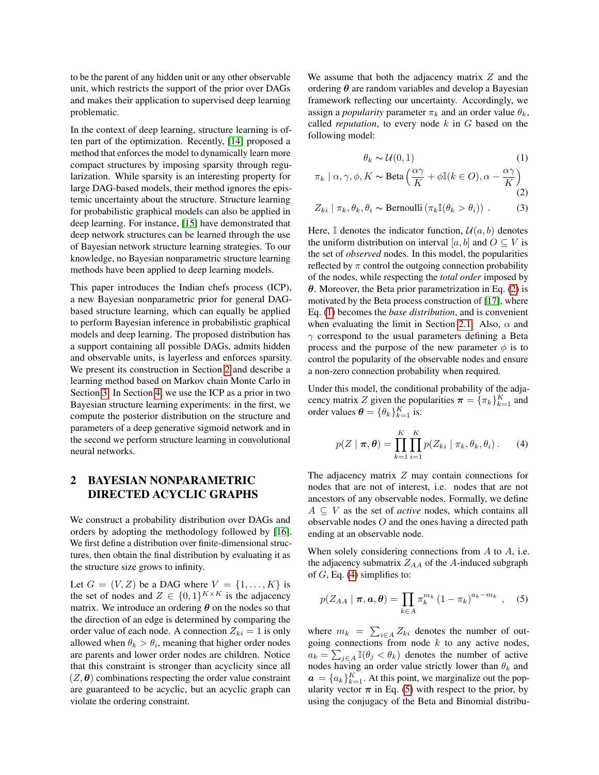to be the parent of any hidden unit or any other observable unit, which restricts the support of the prior over DAGs and makes their application to supervised deep learning problematic.

In the context of deep learning, structure learning is often part of the optimization. Recently, [\[14\]](#page-8-13) proposed a method that enforces the model to dynamically learn more compact structures by imposing sparsity through regularization. While sparsity is an interesting property for large DAG-based models, their method ignores the epistemic uncertainty about the structure. Structure learning for probabilistic graphical models can also be applied in deep learning. For instance, [\[15\]](#page-8-14) have demonstrated that deep network structures can be learned through the use of Bayesian network structure learning strategies. To our knowledge, no Bayesian nonparametric structure learning methods have been applied to deep learning models.

This paper introduces the Indian chefs process (ICP), a new Bayesian nonparametric prior for general DAGbased structure learning, which can equally be applied to perform Bayesian inference in probabilistic graphical models and deep learning. The proposed distribution has a support containing all possible DAGs, admits hidden and observable units, is layerless and enforces sparsity. We present its construction in Section [2](#page-1-0) and describe a learning method based on Markov chain Monte Carlo in Section [3.](#page-4-0) In Section [4,](#page-5-0) we use the ICP as a prior in two Bayesian structure learning experiments: in the first, we compute the posterior distribution on the structure and parameters of a deep generative sigmoid network and in the second we perform structure learning in convolutional neural networks.

## <span id="page-1-0"></span>2 BAYESIAN NONPARAMETRIC DIRECTED ACYCLIC GRAPHS

We construct a probability distribution over DAGs and orders by adopting the methodology followed by [\[16\]](#page-8-15). We first define a distribution over finite-dimensional structures, then obtain the final distribution by evaluating it as the structure size grows to infinity.

Let  $G = (V, Z)$  be a DAG where  $V = \{1, \ldots, K\}$  is the set of nodes and  $Z \in \{0,1\}^{K \times K}$  is the adjacency matrix. We introduce an ordering  $\theta$  on the nodes so that the direction of an edge is determined by comparing the order value of each node. A connection  $Z_{ki} = 1$  is only allowed when  $\theta_k > \theta_i$ , meaning that higher order nodes are parents and lower order nodes are children. Notice that this constraint is stronger than acyclicity since all  $(Z, \theta)$  combinations respecting the order value constraint are guaranteed to be acyclic, but an acyclic graph can violate the ordering constraint.

We assume that both the adjacency matrix  $Z$  and the ordering  $\theta$  are random variables and develop a Bayesian framework reflecting our uncertainty. Accordingly, we assign a *popularity* parameter  $\pi_k$  and an order value  $\theta_k$ , called *reputation*, to every node  $k$  in  $G$  based on the following model:

<span id="page-1-2"></span><span id="page-1-1"></span>
$$
\theta_k \sim \mathcal{U}(0, 1) \tag{1}
$$

$$
\pi_k \mid \alpha, \gamma, \phi, K \sim \text{Beta}\left(\frac{\alpha \gamma}{K} + \phi \mathbb{I}(k \in O), \alpha - \frac{\alpha \gamma}{K}\right)
$$
  
(2)  

$$
Z_{ki} \mid \pi_k, \theta_k, \theta_i \sim \text{Bernoulli}\left(\pi_k \mathbb{I}(\theta_k > \theta_i)\right).
$$

Here,  $\mathbb I$  denotes the indicator function,  $\mathcal U(a, b)$  denotes the uniform distribution on interval [a, b] and  $O \subseteq V$  is the set of *observed* nodes. In this model, the popularities reflected by  $\pi$  control the outgoing connection probability of the nodes, while respecting the *total order* imposed by  $\theta$ . Moreover, the Beta prior parametrization in Eq. [\(2\)](#page-1-1) is motivated by the Beta process construction of [\[17\]](#page-8-16), where Eq. [\(1\)](#page-1-2) becomes the *base distribution*, and is convenient when evaluating the limit in Section [2.1.](#page-2-0) Also,  $\alpha$  and  $\gamma$  correspond to the usual parameters defining a Beta process and the purpose of the new parameter  $\phi$  is to control the popularity of the observable nodes and ensure a non-zero connection probability when required.

Under this model, the conditional probability of the adjacency matrix Z given the popularities  $\boldsymbol{\pi} = {\{\pi_k\}}_{k=1}^K$  and order values  $\boldsymbol{\theta} = \{\theta_k\}_{k=1}^K$  is:

<span id="page-1-3"></span>
$$
p(Z \mid \boldsymbol{\pi}, \boldsymbol{\theta}) = \prod_{k=1}^{K} \prod_{i=1}^{K} p(Z_{ki} \mid \pi_k, \theta_k, \theta_i).
$$
 (4)

The adjacency matrix  $Z$  may contain connections for nodes that are not of interest, i.e. nodes that are not ancestors of any observable nodes. Formally, we define  $A \subseteq V$  as the set of *active* nodes, which contains all observable nodes O and the ones having a directed path ending at an observable node.

When solely considering connections from  $A$  to  $A$ , i.e. the adjacency submatrix  $Z_{AA}$  of the A-induced subgraph of  $G$ , Eq. [\(4\)](#page-1-3) simplifies to:

<span id="page-1-4"></span>
$$
p(Z_{AA} | \boldsymbol{\pi}, \boldsymbol{a}, \boldsymbol{\theta}) = \prod_{k \in A} \pi_k^{m_k} (1 - \pi_k)^{a_k - m_k}, \quad (5)
$$

where  $m_k = \sum_{i \in A} Z_{ki}$  denotes the number of outgoing connections from node  $k$  to any active nodes,  $a_k = \sum_{j \in A} \mathbb{I}(\theta_j < \theta_k)$  denotes the number of active nodes having an order value strictly lower than  $\theta_k$  and  $a = \{a_k\}_{k=1}^K$ . At this point, we marginalize out the popularity vector  $\pi$  in Eq. [\(5\)](#page-1-4) with respect to the prior, by using the conjugacy of the Beta and Binomial distribu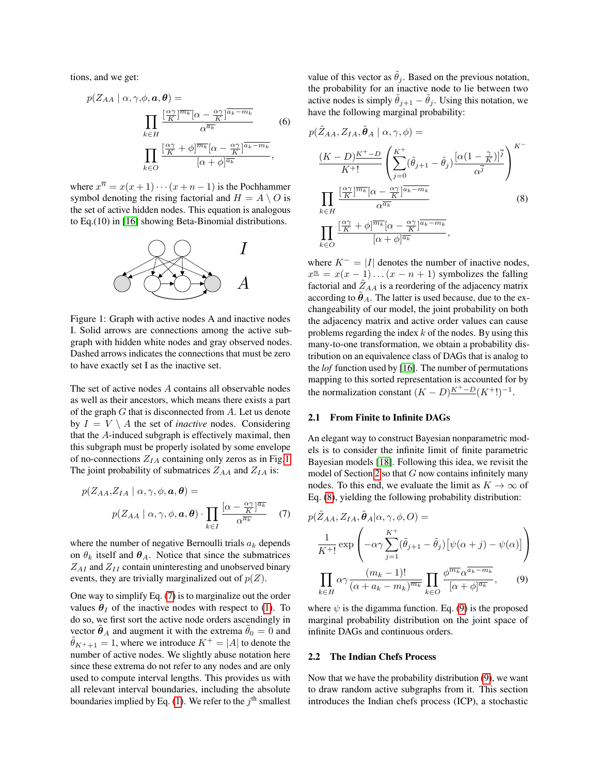tions, and we get:

$$
p(Z_{AA} \mid \alpha, \gamma, \phi, \mathbf{a}, \mathbf{\theta}) =
$$

$$
\prod_{k \in H} \frac{\left[\frac{\alpha\gamma}{K}\right]^{\overline{m_k}} [\alpha - \frac{\alpha\gamma}{K}]^{\overline{a_k} - \overline{m_k}}}{\alpha^{\overline{a_k}}} \qquad (6)
$$

$$
\prod_{k \in O} \frac{\left[\frac{\alpha\gamma}{K} + \phi\right]^{\overline{m_k}} [\alpha - \frac{\alpha\gamma}{K}]^{\overline{a_k} - \overline{m_k}}}{[\alpha + \phi]^{\overline{a_k}}},
$$

where  $x^{\overline{n}} = x(x+1)\cdots(x+n-1)$  is the Pochhammer symbol denoting the rising factorial and  $H = A \setminus O$  is the set of active hidden nodes. This equation is analogous to Eq.(10) in [\[16\]](#page-8-15) showing Beta-Binomial distributions.



<span id="page-2-1"></span>Figure 1: Graph with active nodes A and inactive nodes I. Solid arrows are connections among the active subgraph with hidden white nodes and gray observed nodes. Dashed arrows indicates the connections that must be zero to have exactly set I as the inactive set.

The set of active nodes A contains all observable nodes as well as their ancestors, which means there exists a part of the graph  $G$  that is disconnected from  $A$ . Let us denote by  $I = V \setminus A$  the set of *inactive* nodes. Considering that the A-induced subgraph is effectively maximal, then this subgraph must be properly isolated by some envelope of no-connections  $Z_{IA}$  containing only zeros as in Fig[.1.](#page-2-1) The joint probability of submatrices  $Z_{AA}$  and  $Z_{IA}$  is:

$$
p(Z_{AA}, Z_{IA} \mid \alpha, \gamma, \phi, \mathbf{a}, \mathbf{\theta}) =
$$

$$
p(Z_{AA} \mid \alpha, \gamma, \phi, \mathbf{a}, \mathbf{\theta}) \cdot \prod_{k \in I} \frac{[\alpha - \frac{\alpha \gamma}{K}]^{\overline{a_k}}}{\alpha^{\overline{a_k}}} \quad (7)
$$

where the number of negative Bernoulli trials  $a_k$  depends on  $\theta_k$  itself and  $\theta_A$ . Notice that since the submatrices  $Z_{AI}$  and  $Z_{II}$  contain uninteresting and unobserved binary events, they are trivially marginalized out of  $p(Z)$ .

One way to simplify Eq. [\(7\)](#page-2-2) is to marginalize out the order values  $\theta_I$  of the inactive nodes with respect to [\(1\)](#page-1-2). To do so, we first sort the active node orders ascendingly in vector  $\hat{\theta}_A$  and augment it with the extrema  $\hat{\theta}_0 = 0$  and  $\theta_{K^+ + 1} = 1$ , where we introduce  $K^+ = |A|$  to denote the number of active nodes. We slightly abuse notation here since these extrema do not refer to any nodes and are only used to compute interval lengths. This provides us with all relevant interval boundaries, including the absolute boundaries implied by Eq. [\(1\)](#page-1-2). We refer to the  $j<sup>th</sup>$  smallest value of this vector as  $\hat{\theta}_i$ . Based on the previous notation, the probability for an inactive node to lie between two active nodes is simply  $\theta_{j+1} - \theta_j$ . Using this notation, we have the following marginal probability:

<span id="page-2-3"></span>
$$
p(\tilde{Z}_{AA}, Z_{IA}, \tilde{\theta}_A | \alpha, \gamma, \phi) =
$$
  
\n
$$
\frac{(K - D)^{K^{+} - D}}{K^{+}!} \left( \sum_{j=0}^{K^{+}} (\tilde{\theta}_{j+1} - \tilde{\theta}_j) \frac{[\alpha(1 - \frac{\gamma}{K})]^{\overline{j}}}{\alpha^{\overline{j}}} \right)^{K^{-}}
$$
  
\n
$$
\prod_{k \in H} \frac{\left[ \frac{\alpha\gamma}{K} \right]^{\overline{m_k}} [\alpha - \frac{\alpha\gamma}{K}]^{\overline{a_k} - m_k}}{\alpha^{\overline{a_k}}} \qquad (8)
$$
  
\n
$$
\prod_{k \in O} \frac{\left[ \frac{\alpha\gamma}{K} + \phi \right]^{\overline{m_k}} [\alpha - \frac{\alpha\gamma}{K}]^{\overline{a_k} - m_k}}{[\alpha + \phi]^{\overline{a_k}}} ,
$$

where  $K^- = |I|$  denotes the number of inactive nodes,  $x^{\underline{n}} = x(x-1)...(x-n+1)$  symbolizes the falling factorial and  $\tilde{Z}_{AA}$  is a reordering of the adjacency matrix according to  $\theta_A$ . The latter is used because, due to the exchangeability of our model, the joint probability on both the adjacency matrix and active order values can cause problems regarding the index  $k$  of the nodes. By using this many-to-one transformation, we obtain a probability distribution on an equivalence class of DAGs that is analog to the *lof* function used by [\[16\]](#page-8-15). The number of permutations mapping to this sorted representation is accounted for by the normalization constant  $(K - D)\frac{K^+ - D}{K^+ - 1}$ .

#### <span id="page-2-0"></span>2.1 From Finite to Infinite DAGs

An elegant way to construct Bayesian nonparametric models is to consider the infinite limit of finite parametric Bayesian models [\[18\]](#page-8-17). Following this idea, we revisit the model of Section [2](#page-1-0) so that  $G$  now contains infinitely many nodes. To this end, we evaluate the limit as  $K \to \infty$  of Eq. [\(8\)](#page-2-3), yielding the following probability distribution:

<span id="page-2-2"></span>
$$
p(\tilde{Z}_{AA}, Z_{IA}, \tilde{\theta}_A | \alpha, \gamma, \phi, O) =
$$

$$
\frac{1}{K^+!} \exp\left(-\alpha \gamma \sum_{j=1}^{K^+} (\tilde{\theta}_{j+1} - \tilde{\theta}_j) \left[\psi(\alpha + j) - \psi(\alpha)\right]\right)
$$

$$
\prod_{k \in H} \alpha \gamma \frac{(m_k - 1)!}{(\alpha + a_k - m_k)^{\overline{m_k}}} \prod_{k \in O} \frac{\phi^{\overline{m_k}} \alpha^{\overline{a_k - m_k}}}{[\alpha + \phi]^{\overline{a_k}}}, \qquad (9)
$$

<span id="page-2-4"></span>where  $\psi$  is the digamma function. Eq. [\(9\)](#page-2-4) is the proposed marginal probability distribution on the joint space of infinite DAGs and continuous orders.

#### 2.2 The Indian Chefs Process

Now that we have the probability distribution [\(9\)](#page-2-4), we want to draw random active subgraphs from it. This section introduces the Indian chefs process (ICP), a stochastic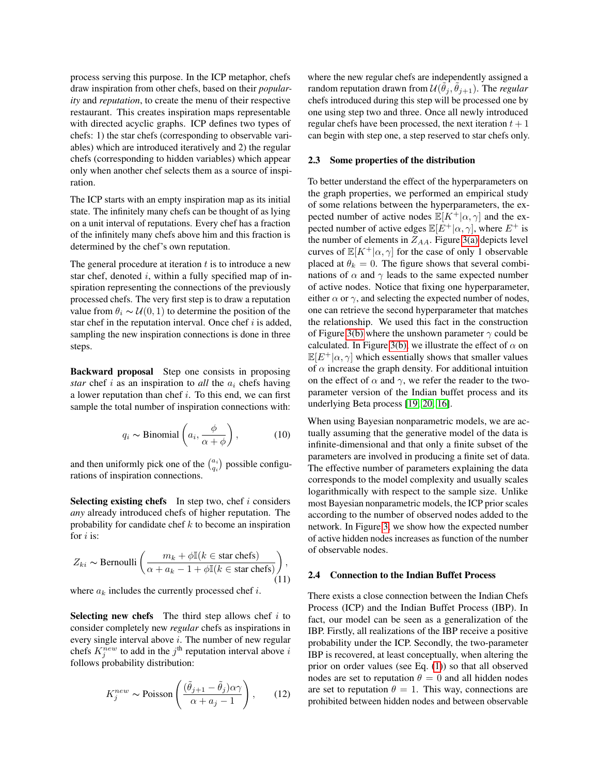process serving this purpose. In the ICP metaphor, chefs draw inspiration from other chefs, based on their *popularity* and *reputation*, to create the menu of their respective restaurant. This creates inspiration maps representable with directed acyclic graphs. ICP defines two types of chefs: 1) the star chefs (corresponding to observable variables) which are introduced iteratively and 2) the regular chefs (corresponding to hidden variables) which appear only when another chef selects them as a source of inspiration.

The ICP starts with an empty inspiration map as its initial state. The infinitely many chefs can be thought of as lying on a unit interval of reputations. Every chef has a fraction of the infinitely many chefs above him and this fraction is determined by the chef's own reputation.

The general procedure at iteration  $t$  is to introduce a new star chef, denoted  $i$ , within a fully specified map of inspiration representing the connections of the previously processed chefs. The very first step is to draw a reputation value from  $\theta_i \sim \mathcal{U}(0, 1)$  to determine the position of the star chef in the reputation interval. Once chef  $i$  is added, sampling the new inspiration connections is done in three steps.

Backward proposal Step one consists in proposing *star* chef i as an inspiration to *all* the  $a_i$  chefs having a lower reputation than chef i. To this end, we can first sample the total number of inspiration connections with:

$$
q_i \sim \text{Binomial}\left(a_i, \frac{\phi}{\alpha + \phi}\right),\tag{10}
$$

and then uniformly pick one of the  $\binom{a_i}{q_i}$  possible configurations of inspiration connections.

Selecting existing chefs In step two, chef  $i$  considers *any* already introduced chefs of higher reputation. The probability for candidate chef  $k$  to become an inspiration for  $i$  is:

$$
Z_{ki} \sim \text{Bernoulli}\left(\frac{m_k + \phi \mathbb{I}(k \in \text{star chefs})}{\alpha + a_k - 1 + \phi \mathbb{I}(k \in \text{star chefs})}\right),\tag{11}
$$

where  $a_k$  includes the currently processed chef i.

**Selecting new chefs** The third step allows chef  $i$  to consider completely new *regular* chefs as inspirations in every single interval above  $i$ . The number of new regular chefs  $K_j^{new}$  to add in the  $j^{\text{th}}$  reputation interval above i follows probability distribution:

$$
K_j^{new} \sim \text{Poisson}\left(\frac{(\tilde{\theta}_{j+1} - \tilde{\theta}_j)\alpha\gamma}{\alpha + a_j - 1}\right),\qquad(12)
$$

where the new regular chefs are independently assigned a random reputation drawn from  $\mathcal{U}(\tilde{\theta}_j, \tilde{\theta}_{j+1})$ . The *regular* chefs introduced during this step will be processed one by one using step two and three. Once all newly introduced regular chefs have been processed, the next iteration  $t + 1$ can begin with step one, a step reserved to star chefs only.

#### 2.3 Some properties of the distribution

To better understand the effect of the hyperparameters on the graph properties, we performed an empirical study of some relations between the hyperparameters, the expected number of active nodes  $\mathbb{E}[K^+|\alpha,\gamma]$  and the expected number of active edges  $\mathbb{E}[E^+|\alpha,\gamma]$ , where  $E^+$  is the number of elements in  $Z_{AA}$ . Figure [3\(a\)](#page-5-1) depicts level curves of  $\mathbb{E}[K^+|\alpha,\gamma]$  for the case of only 1 observable placed at  $\theta_k = 0$ . The figure shows that several combinations of  $\alpha$  and  $\gamma$  leads to the same expected number of active nodes. Notice that fixing one hyperparameter, either  $\alpha$  or  $\gamma$ , and selecting the expected number of nodes, one can retrieve the second hyperparameter that matches the relationship. We used this fact in the construction of Figure [3\(b\)](#page-5-2) where the unshown parameter  $\gamma$  could be calculated. In Figure [3\(b\),](#page-5-2) we illustrate the effect of  $\alpha$  on  $\mathbb{E}[E^+|\alpha,\gamma]$  which essentially shows that smaller values of  $\alpha$  increase the graph density. For additional intuition on the effect of  $\alpha$  and  $\gamma$ , we refer the reader to the twoparameter version of the Indian buffet process and its underlying Beta process [\[19,](#page-8-18) [20,](#page-8-19) [16\]](#page-8-15).

When using Bayesian nonparametric models, we are actually assuming that the generative model of the data is infinite-dimensional and that only a finite subset of the parameters are involved in producing a finite set of data. The effective number of parameters explaining the data corresponds to the model complexity and usually scales logarithmically with respect to the sample size. Unlike most Bayesian nonparametric models, the ICP prior scales according to the number of observed nodes added to the network. In Figure [3,](#page-5-3) we show how the expected number of active hidden nodes increases as function of the number of observable nodes.

#### 2.4 Connection to the Indian Buffet Process

There exists a close connection between the Indian Chefs Process (ICP) and the Indian Buffet Process (IBP). In fact, our model can be seen as a generalization of the IBP. Firstly, all realizations of the IBP receive a positive probability under the ICP. Secondly, the two-parameter IBP is recovered, at least conceptually, when altering the prior on order values (see Eq. [\(1\)](#page-1-2)) so that all observed nodes are set to reputation  $\theta = 0$  and all hidden nodes are set to reputation  $\theta = 1$ . This way, connections are prohibited between hidden nodes and between observable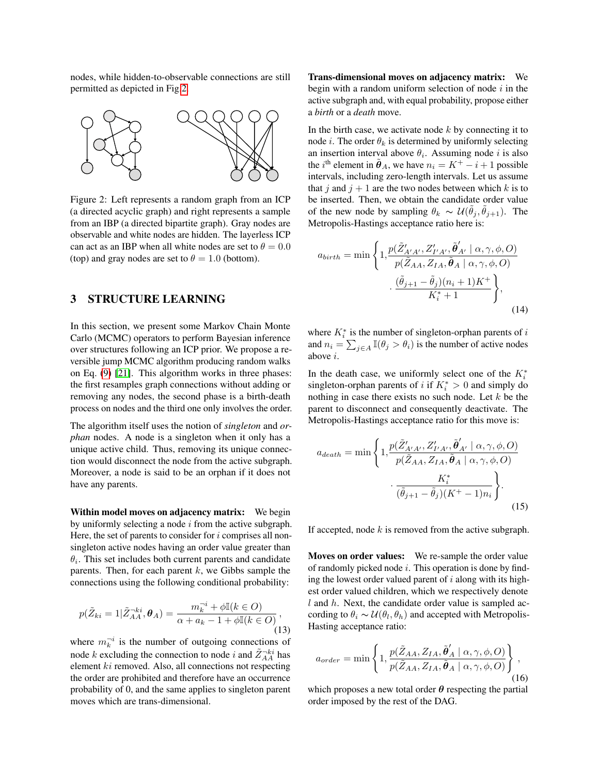nodes, while hidden-to-observable connections are still permitted as depicted in Fig[.2.](#page-4-1)



<span id="page-4-1"></span>Figure 2: Left represents a random graph from an ICP (a directed acyclic graph) and right represents a sample from an IBP (a directed bipartite graph). Gray nodes are observable and white nodes are hidden. The layerless ICP can act as an IBP when all white nodes are set to  $\theta = 0.0$ (top) and gray nodes are set to  $\theta = 1.0$  (bottom).

## <span id="page-4-0"></span>3 STRUCTURE LEARNING

In this section, we present some Markov Chain Monte Carlo (MCMC) operators to perform Bayesian inference over structures following an ICP prior. We propose a reversible jump MCMC algorithm producing random walks on Eq. [\(9\)](#page-2-4) [\[21\]](#page-8-20). This algorithm works in three phases: the first resamples graph connections without adding or removing any nodes, the second phase is a birth-death process on nodes and the third one only involves the order.

The algorithm itself uses the notion of *singleton* and *orphan* nodes. A node is a singleton when it only has a unique active child. Thus, removing its unique connection would disconnect the node from the active subgraph. Moreover, a node is said to be an orphan if it does not have any parents.

Within model moves on adjacency matrix: We begin by uniformly selecting a node  $i$  from the active subgraph. Here, the set of parents to consider for  $i$  comprises all nonsingleton active nodes having an order value greater than  $\theta_i$ . This set includes both current parents and candidate parents. Then, for each parent  $k$ , we Gibbs sample the connections using the following conditional probability:

$$
p(\tilde{Z}_{ki}=1|\tilde{Z}_{AA}^{-ki},\boldsymbol{\theta}_A)=\frac{m_k^{-i}+\phi\mathbb{I}(k\in O)}{\alpha+a_k-1+\phi\mathbb{I}(k\in O)},\tag{13}
$$

where  $m_k^{-i}$  is the number of outgoing connections of node k excluding the connection to node i and  $\tilde{Z}_{AA}^{-ki}$  has element ki removed. Also, all connections not respecting the order are prohibited and therefore have an occurrence probability of 0, and the same applies to singleton parent moves which are trans-dimensional.

Trans-dimensional moves on adjacency matrix: We begin with a random uniform selection of node  $i$  in the active subgraph and, with equal probability, propose either a *birth* or a *death* move.

In the birth case, we activate node  $k$  by connecting it to node *i*. The order  $\theta_k$  is determined by uniformly selecting an insertion interval above  $\theta_i$ . Assuming node i is also the *i*<sup>th</sup> element in  $\tilde{\theta}_A$ , we have  $n_i = K^+ - i + 1$  possible intervals, including zero-length intervals. Let us assume that j and  $j + 1$  are the two nodes between which k is to be inserted. Then, we obtain the candidate order value of the new node by sampling  $\theta_k \sim \mathcal{U}(\tilde{\theta}_j, \tilde{\theta}_{j+1})$ . The Metropolis-Hastings acceptance ratio here is:

<span id="page-4-2"></span>
$$
a_{birth} = \min\left\{1, \frac{p(\tilde{Z}_{A'A'}', Z_{I'A'}', \tilde{\theta}_{A'}' | \alpha, \gamma, \phi, O)}{p(\tilde{Z}_{AA}, Z_{IA}, \tilde{\theta}_A | \alpha, \gamma, \phi, O)}, \frac{(\tilde{\theta}_{j+1} - \tilde{\theta}_j)(n_i + 1)K^+}{K_i^* + 1}\right\},\tag{14}
$$

where  $K_i^*$  is the number of singleton-orphan parents of i and  $n_i = \sum_{j \in A} \mathbb{I}(\theta_j > \theta_i)$  is the number of active nodes above i.

In the death case, we uniformly select one of the  $K_i^*$ singleton-orphan parents of *i* if  $K_i^* > 0$  and simply do nothing in case there exists no such node. Let  $k$  be the parent to disconnect and consequently deactivate. The Metropolis-Hastings acceptance ratio for this move is:

$$
a_{death} = \min \left\{ 1, \frac{p(\tilde{Z}_{A'A'}', Z_{I'A'}', \tilde{\theta}_{A'}' | \alpha, \gamma, \phi, O)}{p(\tilde{Z}_{AA}, Z_{IA}, \tilde{\theta}_A | \alpha, \gamma, \phi, O)} \cdot \frac{K_i^*}{(\tilde{\theta}_{j+1} - \tilde{\theta}_j)(K^+ - 1)n_i} \right\}.
$$
\n(15)

If accepted, node  $k$  is removed from the active subgraph.

Moves on order values: We re-sample the order value of randomly picked node  $i$ . This operation is done by finding the lowest order valued parent of  $i$  along with its highest order valued children, which we respectively denote  $l$  and  $h$ . Next, the candidate order value is sampled according to  $\theta_i \sim \mathcal{U}(\theta_i, \theta_h)$  and accepted with Metropolis-Hasting acceptance ratio:

<span id="page-4-3"></span>
$$
a_{order} = \min\left\{1, \frac{p(\tilde{Z}_{AA}, Z_{IA}, \tilde{\theta}'_A \mid \alpha, \gamma, \phi, O)}{p(\tilde{Z}_{AA}, Z_{IA}, \tilde{\theta}_A \mid \alpha, \gamma, \phi, O)}\right\},\tag{16}
$$

which proposes a new total order  $\theta$  respecting the partial order imposed by the rest of the DAG.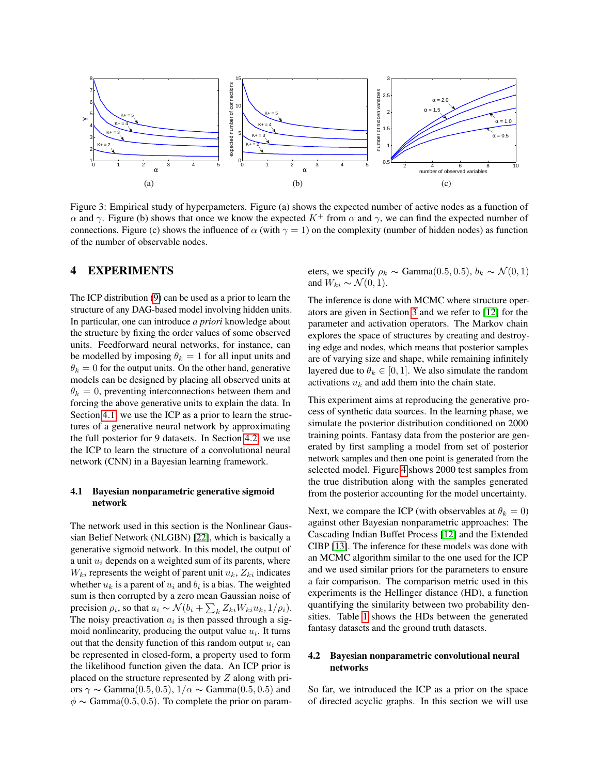<span id="page-5-1"></span>

<span id="page-5-3"></span>Figure 3: Empirical study of hyperpameters. Figure (a) shows the expected number of active nodes as a function of α and γ. Figure (b) shows that once we know the expected  $K^+$  from  $\alpha$  and γ, we can find the expected number of connections. Figure (c) shows the influence of  $\alpha$  (with  $\gamma = 1$ ) on the complexity (number of hidden nodes) as function of the number of observable nodes.

### <span id="page-5-0"></span>4 EXPERIMENTS

The ICP distribution [\(9\)](#page-2-4) can be used as a prior to learn the structure of any DAG-based model involving hidden units. In particular, one can introduce *a priori* knowledge about the structure by fixing the order values of some observed units. Feedforward neural networks, for instance, can be modelled by imposing  $\theta_k = 1$  for all input units and  $\theta_k = 0$  for the output units. On the other hand, generative models can be designed by placing all observed units at  $\theta_k = 0$ , preventing interconnections between them and forcing the above generative units to explain the data. In Section [4.1,](#page-5-4) we use the ICP as a prior to learn the structures of a generative neural network by approximating the full posterior for 9 datasets. In Section [4.2,](#page-5-5) we use the ICP to learn the structure of a convolutional neural network (CNN) in a Bayesian learning framework.

#### <span id="page-5-4"></span>4.1 Bayesian nonparametric generative sigmoid network

The network used in this section is the Nonlinear Gaussian Belief Network (NLGBN) [\[22\]](#page-8-21), which is basically a generative sigmoid network. In this model, the output of a unit  $u_i$  depends on a weighted sum of its parents, where  $W_{ki}$  represents the weight of parent unit  $u_k, Z_{ki}$  indicates whether  $u_k$  is a parent of  $u_i$  and  $b_i$  is a bias. The weighted sum is then corrupted by a zero mean Gaussian noise of precision  $\rho_i$ , so that  $a_i \sim \mathcal{N}(b_i + \sum_k Z_{ki}W_{ki}u_k, 1/\rho_i)$ . The noisy preactivation  $a_i$  is then passed through a sigmoid nonlinearity, producing the output value  $u_i$ . It turns out that the density function of this random output  $u_i$  can be represented in closed-form, a property used to form the likelihood function given the data. An ICP prior is placed on the structure represented by Z along with priors  $\gamma \sim \text{Gamma}(0.5, 0.5), 1/\alpha \sim \text{Gamma}(0.5, 0.5)$  and  $\phi \sim \text{Gamma}(0.5, 0.5)$ . To complete the prior on param<span id="page-5-2"></span>eters, we specify  $\rho_k \sim \text{Gamma}(0.5, 0.5), b_k \sim \mathcal{N}(0, 1)$ and  $W_{ki} \sim \mathcal{N}(0, 1)$ .

The inference is done with MCMC where structure operators are given in Section [3](#page-4-0) and we refer to [\[12\]](#page-8-11) for the parameter and activation operators. The Markov chain explores the space of structures by creating and destroying edge and nodes, which means that posterior samples are of varying size and shape, while remaining infinitely layered due to  $\theta_k \in [0, 1]$ . We also simulate the random activations  $u_k$  and add them into the chain state.

This experiment aims at reproducing the generative process of synthetic data sources. In the learning phase, we simulate the posterior distribution conditioned on 2000 training points. Fantasy data from the posterior are generated by first sampling a model from set of posterior network samples and then one point is generated from the selected model. Figure [4](#page-6-0) shows 2000 test samples from the true distribution along with the samples generated from the posterior accounting for the model uncertainty.

Next, we compare the ICP (with observables at  $\theta_k = 0$ ) against other Bayesian nonparametric approaches: The Cascading Indian Buffet Process [\[12\]](#page-8-11) and the Extended CIBP [\[13\]](#page-8-12). The inference for these models was done with an MCMC algorithm similar to the one used for the ICP and we used similar priors for the parameters to ensure a fair comparison. The comparison metric used in this experiments is the Hellinger distance (HD), a function quantifying the similarity between two probability densities. Table [1](#page-6-1) shows the HDs between the generated fantasy datasets and the ground truth datasets.

#### <span id="page-5-5"></span>4.2 Bayesian nonparametric convolutional neural networks

So far, we introduced the ICP as a prior on the space of directed acyclic graphs. In this section we will use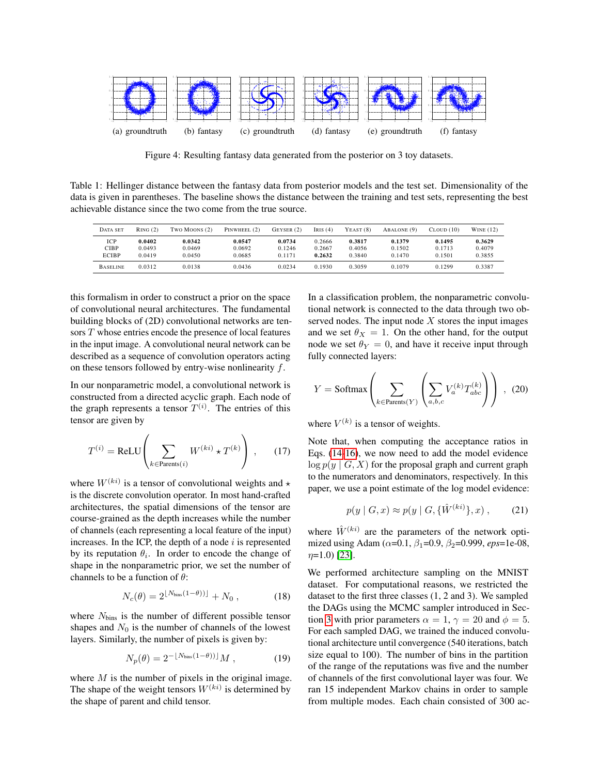

<span id="page-6-0"></span>Figure 4: Resulting fantasy data generated from the posterior on 3 toy datasets.

<span id="page-6-1"></span>Table 1: Hellinger distance between the fantasy data from posterior models and the test set. Dimensionality of the data is given in parentheses. The baseline shows the distance between the training and test sets, representing the best achievable distance since the two come from the true source.

| DATA SET                    | RING(2)                    | TWO MOONS (2)              | PINWHEEL (2)               | $G$ EYSER $(2)$            | IRIS $(4)$                 | $Y\text{EAST}(8)$          | ABALONE (9)                | $C_{\text{LOUD}}(10)$      | WINE $(12)$                |
|-----------------------------|----------------------------|----------------------------|----------------------------|----------------------------|----------------------------|----------------------------|----------------------------|----------------------------|----------------------------|
| ICP<br>CIBP<br><b>ECIBP</b> | 0.0402<br>0.0493<br>0.0419 | 0.0342<br>0.0469<br>0.0450 | 0.0547<br>0.0692<br>0.0685 | 0.0734<br>0.1246<br>0.1171 | 0.2666<br>0.2667<br>0.2632 | 0.3817<br>0.4056<br>0.3840 | 0.1379<br>0.1502<br>0.1470 | 0.1495<br>0.1713<br>0.1501 | 0.3629<br>0.4079<br>0.3855 |
| <b>BASELINE</b>             | 0.0312                     | 0.0138                     | 0.0436                     | 0.0234                     | 0.1930                     | 0.3059                     | 0.1079                     | 0.1299                     | 0.3387                     |

this formalism in order to construct a prior on the space of convolutional neural architectures. The fundamental building blocks of (2D) convolutional networks are tensors T whose entries encode the presence of local features in the input image. A convolutional neural network can be described as a sequence of convolution operators acting on these tensors followed by entry-wise nonlinearity f.

In our nonparametric model, a convolutional network is constructed from a directed acyclic graph. Each node of the graph represents a tensor  $T^{(i)}$ . The entries of this tensor are given by

$$
T^{(i)} = \text{ReLU}\left(\sum_{k \in \text{Parents}(i)} W^{(ki)} \star T^{(k)}\right) ,\qquad(17)
$$

where  $W^{(ki)}$  is a tensor of convolutional weights and  $\star$ is the discrete convolution operator. In most hand-crafted architectures, the spatial dimensions of the tensor are course-grained as the depth increases while the number of channels (each representing a local feature of the input) increases. In the ICP, the depth of a node  $i$  is represented by its reputation  $\theta_i$ . In order to encode the change of shape in the nonparametric prior, we set the number of channels to be a function of  $\theta$ :

$$
N_c(\theta) = 2^{\lfloor N_{\text{bins}}(1-\theta)\rfloor} + N_0 , \qquad (18)
$$

where  $N_{\text{bins}}$  is the number of different possible tensor shapes and  $N_0$  is the number of channels of the lowest layers. Similarly, the number of pixels is given by:

$$
N_p(\theta) = 2^{-\lfloor N_{\text{bins}}(1-\theta)) \rfloor} M , \qquad (19)
$$

where  $M$  is the number of pixels in the original image. The shape of the weight tensors  $W^{(ki)}$  is determined by the shape of parent and child tensor.

In a classification problem, the nonparametric convolutional network is connected to the data through two observed nodes. The input node  $X$  stores the input images and we set  $\theta_X = 1$ . On the other hand, for the output node we set  $\theta_Y = 0$ , and have it receive input through fully connected layers:

$$
Y = \text{Softmax}\left(\sum_{k \in \text{Parents}(Y)} \left(\sum_{a,b,c} V_a^{(k)} T_{abc}^{(k)}\right)\right) , \tag{20}
$$

where  $V^{(k)}$  is a tensor of weights.

Note that, when computing the acceptance ratios in Eqs. [\(14-](#page-4-2)[16\)](#page-4-3), we now need to add the model evidence  $\log p(y \mid G, X)$  for the proposal graph and current graph to the numerators and denominators, respectively. In this paper, we use a point estimate of the log model evidence:

$$
p(y \mid G, x) \approx p(y \mid G, \{\hat{W}^{(ki)}\}, x) , \qquad (21)
$$

where  $\hat{W}^{(ki)}$  are the parameters of the network optimized using Adam (α=0.1, β1=0.9, β2=0.999, *eps*=1e-08,  $\eta$ =1.0) [\[23\]](#page-8-22).

We performed architecture sampling on the MNIST dataset. For computational reasons, we restricted the dataset to the first three classes (1, 2 and 3). We sampled the DAGs using the MCMC sampler introduced in Sec-tion [3](#page-4-0) with prior parameters  $\alpha = 1$ ,  $\gamma = 20$  and  $\phi = 5$ . For each sampled DAG, we trained the induced convolutional architecture until convergence (540 iterations, batch size equal to 100). The number of bins in the partition of the range of the reputations was five and the number of channels of the first convolutional layer was four. We ran 15 independent Markov chains in order to sample from multiple modes. Each chain consisted of 300 ac-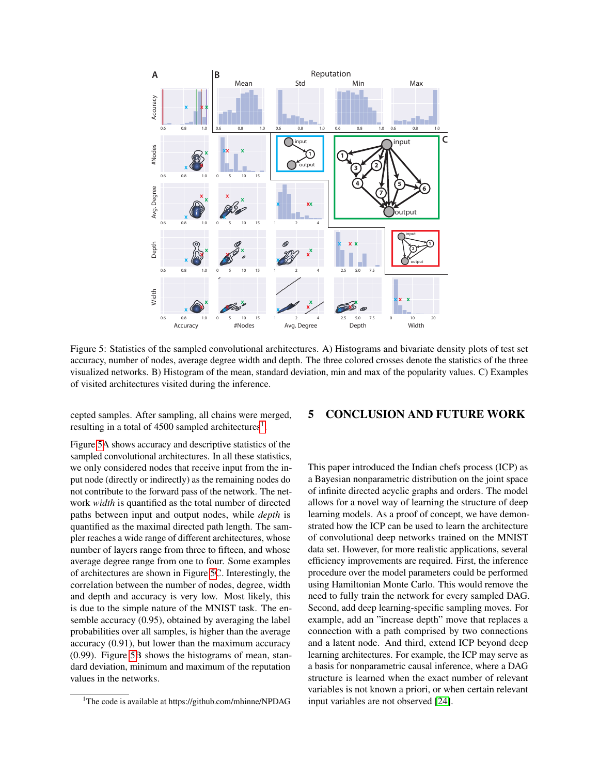

<span id="page-7-1"></span>Figure 5: Statistics of the sampled convolutional architectures. A) Histograms and bivariate density plots of test set accuracy, number of nodes, average degree width and depth. The three colored crosses denote the statistics of the three visualized networks. B) Histogram of the mean, standard deviation, min and max of the popularity values. C) Examples of visited architectures visited during the inference.

cepted samples. After sampling, all chains were merged, resulting in a total of  $4500$  sampled architectures<sup>[1](#page-7-0)</sup>.

Figure [5A](#page-7-1) shows accuracy and descriptive statistics of the sampled convolutional architectures. In all these statistics, we only considered nodes that receive input from the input node (directly or indirectly) as the remaining nodes do not contribute to the forward pass of the network. The network *width* is quantified as the total number of directed paths between input and output nodes, while *depth* is quantified as the maximal directed path length. The sampler reaches a wide range of different architectures, whose number of layers range from three to fifteen, and whose average degree range from one to four. Some examples of architectures are shown in Figure [5C](#page-7-1). Interestingly, the correlation between the number of nodes, degree, width and depth and accuracy is very low. Most likely, this is due to the simple nature of the MNIST task. The ensemble accuracy (0.95), obtained by averaging the label probabilities over all samples, is higher than the average accuracy (0.91), but lower than the maximum accuracy (0.99). Figure [5B](#page-7-1) shows the histograms of mean, standard deviation, minimum and maximum of the reputation values in the networks.

#### 5 CONCLUSION AND FUTURE WORK

This paper introduced the Indian chefs process (ICP) as a Bayesian nonparametric distribution on the joint space of infinite directed acyclic graphs and orders. The model allows for a novel way of learning the structure of deep learning models. As a proof of concept, we have demonstrated how the ICP can be used to learn the architecture of convolutional deep networks trained on the MNIST data set. However, for more realistic applications, several efficiency improvements are required. First, the inference procedure over the model parameters could be performed using Hamiltonian Monte Carlo. This would remove the need to fully train the network for every sampled DAG. Second, add deep learning-specific sampling moves. For example, add an "increase depth" move that replaces a connection with a path comprised by two connections and a latent node. And third, extend ICP beyond deep learning architectures. For example, the ICP may serve as a basis for nonparametric causal inference, where a DAG structure is learned when the exact number of relevant variables is not known a priori, or when certain relevant input variables are not observed [\[24\]](#page-8-23).

<span id="page-7-0"></span><sup>&</sup>lt;sup>1</sup>The code is available at https://github.com/mhinne/NPDAG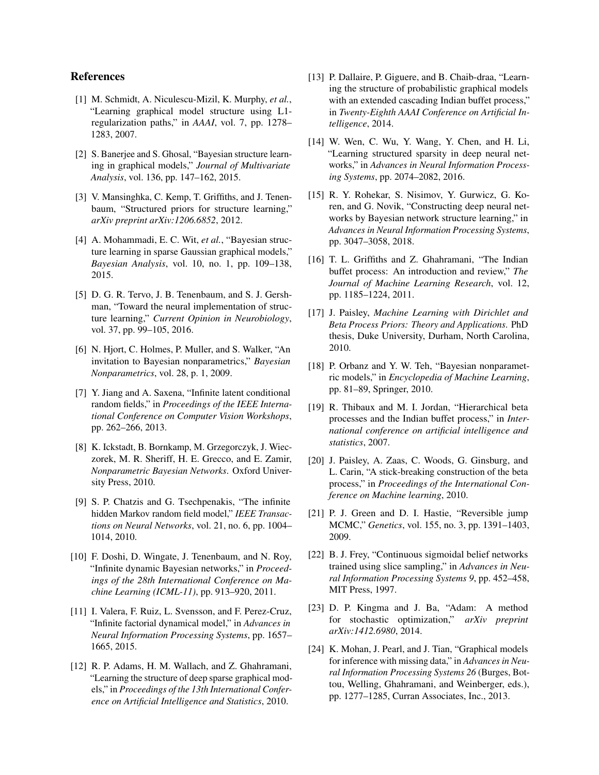## References

- <span id="page-8-0"></span>[1] M. Schmidt, A. Niculescu-Mizil, K. Murphy, *et al.*, "Learning graphical model structure using L1 regularization paths," in *AAAI*, vol. 7, pp. 1278– 1283, 2007.
- <span id="page-8-1"></span>[2] S. Banerjee and S. Ghosal, "Bayesian structure learning in graphical models," *Journal of Multivariate Analysis*, vol. 136, pp. 147–162, 2015.
- <span id="page-8-2"></span>[3] V. Mansinghka, C. Kemp, T. Griffiths, and J. Tenenbaum, "Structured priors for structure learning," *arXiv preprint arXiv:1206.6852*, 2012.
- <span id="page-8-3"></span>[4] A. Mohammadi, E. C. Wit, *et al.*, "Bayesian structure learning in sparse Gaussian graphical models," *Bayesian Analysis*, vol. 10, no. 1, pp. 109–138, 2015.
- <span id="page-8-4"></span>[5] D. G. R. Tervo, J. B. Tenenbaum, and S. J. Gershman, "Toward the neural implementation of structure learning," *Current Opinion in Neurobiology*, vol. 37, pp. 99–105, 2016.
- <span id="page-8-5"></span>[6] N. Hjort, C. Holmes, P. Muller, and S. Walker, "An invitation to Bayesian nonparametrics," *Bayesian Nonparametrics*, vol. 28, p. 1, 2009.
- <span id="page-8-6"></span>[7] Y. Jiang and A. Saxena, "Infinite latent conditional random fields," in *Proceedings of the IEEE International Conference on Computer Vision Workshops*, pp. 262–266, 2013.
- <span id="page-8-7"></span>[8] K. Ickstadt, B. Bornkamp, M. Grzegorczyk, J. Wieczorek, M. R. Sheriff, H. E. Grecco, and E. Zamir, *Nonparametric Bayesian Networks*. Oxford University Press, 2010.
- <span id="page-8-8"></span>[9] S. P. Chatzis and G. Tsechpenakis, "The infinite hidden Markov random field model," *IEEE Transactions on Neural Networks*, vol. 21, no. 6, pp. 1004– 1014, 2010.
- <span id="page-8-9"></span>[10] F. Doshi, D. Wingate, J. Tenenbaum, and N. Roy, "Infinite dynamic Bayesian networks," in *Proceedings of the 28th International Conference on Machine Learning (ICML-11)*, pp. 913–920, 2011.
- <span id="page-8-10"></span>[11] I. Valera, F. Ruiz, L. Svensson, and F. Perez-Cruz, "Infinite factorial dynamical model," in *Advances in Neural Information Processing Systems*, pp. 1657– 1665, 2015.
- <span id="page-8-11"></span>[12] R. P. Adams, H. M. Wallach, and Z. Ghahramani, "Learning the structure of deep sparse graphical models," in *Proceedings of the 13th International Conference on Artificial Intelligence and Statistics*, 2010.
- <span id="page-8-12"></span>[13] P. Dallaire, P. Giguere, and B. Chaib-draa, "Learning the structure of probabilistic graphical models with an extended cascading Indian buffet process," in *Twenty-Eighth AAAI Conference on Artificial Intelligence*, 2014.
- <span id="page-8-13"></span>[14] W. Wen, C. Wu, Y. Wang, Y. Chen, and H. Li, "Learning structured sparsity in deep neural networks," in *Advances in Neural Information Processing Systems*, pp. 2074–2082, 2016.
- <span id="page-8-14"></span>[15] R. Y. Rohekar, S. Nisimov, Y. Gurwicz, G. Koren, and G. Novik, "Constructing deep neural networks by Bayesian network structure learning," in *Advances in Neural Information Processing Systems*, pp. 3047–3058, 2018.
- <span id="page-8-15"></span>[16] T. L. Griffiths and Z. Ghahramani, "The Indian buffet process: An introduction and review," *The Journal of Machine Learning Research*, vol. 12, pp. 1185–1224, 2011.
- <span id="page-8-16"></span>[17] J. Paisley, *Machine Learning with Dirichlet and Beta Process Priors: Theory and Applications*. PhD thesis, Duke University, Durham, North Carolina, 2010.
- <span id="page-8-17"></span>[18] P. Orbanz and Y. W. Teh, "Bayesian nonparametric models," in *Encyclopedia of Machine Learning*, pp. 81–89, Springer, 2010.
- <span id="page-8-18"></span>[19] R. Thibaux and M. I. Jordan, "Hierarchical beta processes and the Indian buffet process," in *International conference on artificial intelligence and statistics*, 2007.
- <span id="page-8-19"></span>[20] J. Paisley, A. Zaas, C. Woods, G. Ginsburg, and L. Carin, "A stick-breaking construction of the beta process," in *Proceedings of the International Conference on Machine learning*, 2010.
- <span id="page-8-20"></span>[21] P. J. Green and D. I. Hastie, "Reversible jump MCMC," *Genetics*, vol. 155, no. 3, pp. 1391–1403, 2009.
- <span id="page-8-21"></span>[22] B. J. Frey, "Continuous sigmoidal belief networks trained using slice sampling," in *Advances in Neural Information Processing Systems 9*, pp. 452–458, MIT Press, 1997.
- <span id="page-8-22"></span>[23] D. P. Kingma and J. Ba, "Adam: A method for stochastic optimization," *arXiv preprint arXiv:1412.6980*, 2014.
- <span id="page-8-23"></span>[24] K. Mohan, J. Pearl, and J. Tian, "Graphical models for inference with missing data," in *Advances in Neural Information Processing Systems 26* (Burges, Bottou, Welling, Ghahramani, and Weinberger, eds.), pp. 1277–1285, Curran Associates, Inc., 2013.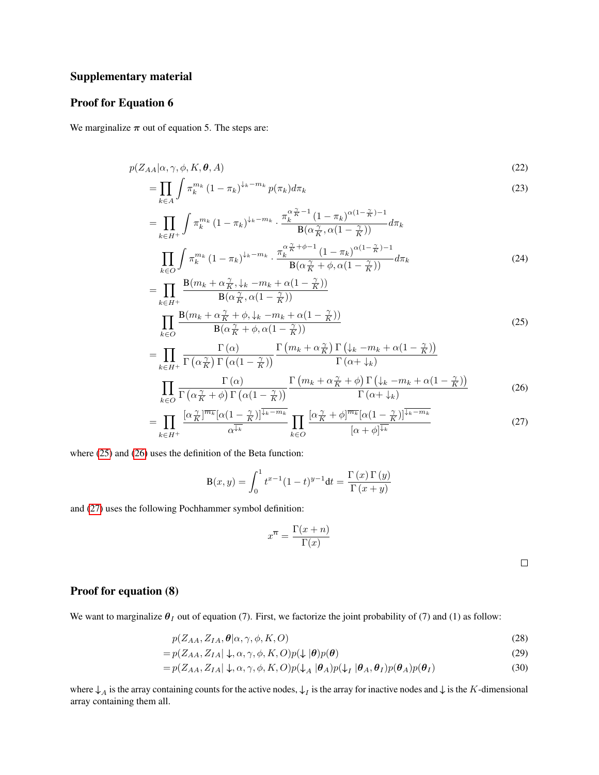# Supplementary material

# Proof for Equation 6

We marginalize  $\pi$  out of equation 5. The steps are:

$$
p(Z_{AA}|\alpha, \gamma, \phi, K, \theta, A) \tag{22}
$$

$$
=\prod_{k\in A}\int \pi_k^{m_k}\left(1-\pi_k\right)^{\downarrow_k-m_k}p(\pi_k)d\pi_k\tag{23}
$$

$$
= \prod_{k\in H^{+}} \int \pi_{k}^{m_{k}} (1-\pi_{k})^{\downarrow_{k}-m_{k}} \cdot \frac{\pi_{k}^{\alpha} \tilde{\pi}^{-1} (1-\pi_{k})^{\alpha(1-\frac{\gamma}{K})-1}}{\mathbf{B}(\alpha \tilde{\pi}, \alpha(1-\tilde{\pi}))} d\pi_{k}
$$
\n
$$
\prod_{k\in O} \int \pi_{k}^{m_{k}} (1-\pi_{k})^{\downarrow_{k}-m_{k}} \cdot \frac{\pi_{k}^{\alpha} \tilde{\pi}^{+\phi-1} (1-\pi_{k})^{\alpha(1-\frac{\gamma}{K})-1}}{\mathbf{B}(\alpha \tilde{\pi}+\phi,\alpha(1-\tilde{\pi}))} d\pi_{k}
$$
\n
$$
= \prod_{k\in H^{+}} \frac{\mathbf{B}(m_{k}+\alpha \tilde{\pi},\downarrow_{k}-m_{k}+\alpha(1-\frac{\gamma}{K}))}{\mathbf{B}(\alpha \tilde{\pi},\alpha(1-\tilde{\pi}))}
$$
\n
$$
\prod_{k\in O} \frac{\mathbf{B}(m_{k}+\alpha \tilde{\pi}+\phi,\downarrow_{k}-m_{k}+\alpha(1-\frac{\gamma}{K}))}{\mathbf{B}(\alpha \tilde{\pi}+\phi,\alpha(1-\frac{\gamma}{K}))}
$$
\n
$$
= \prod_{k\in H^{+}} \frac{\Gamma(\alpha)}{\Gamma(\alpha \tilde{\pi})\Gamma(\alpha(1-\tilde{\pi}))} \frac{\Gamma(m_{k}+\alpha \tilde{\pi})\Gamma(\downarrow_{k}-m_{k}+\alpha(1-\frac{\gamma}{K}))}{\Gamma(\alpha+\downarrow_{k})}
$$
\n(25)

$$
\prod_{k\in O} \frac{\Gamma(\alpha)}{\Gamma(\alpha \frac{\gamma}{K} + \phi) \Gamma(\alpha(1 - \frac{\gamma}{K}))} \frac{\Gamma(m_k + \alpha \frac{\gamma}{K} + \phi) \Gamma(\psi_k - m_k + \alpha(1 - \frac{\gamma}{K}))}{\Gamma(\alpha + \psi_k)}
$$
(26)

$$
= \prod_{k \in H^{+}} \frac{\left[\alpha \frac{\gamma}{K}\right]^{\overline{m_{k}}}[\alpha(1 - \frac{\gamma}{K})]^{\overline{\downarrow_{k} - m_{k}}}}{\alpha^{\overline{\downarrow_{k}}}} \prod_{k \in O} \frac{\left[\alpha \frac{\gamma}{K} + \phi\right]^{\overline{m_{k}}}[\alpha(1 - \frac{\gamma}{K})]^{\overline{\downarrow_{k} - m_{k}}}}{\left[\alpha + \phi\right]^{\overline{\downarrow_{k}}}}
$$
(27)

where  $(25)$  and  $(26)$  uses the definition of the Beta function:

$$
B(x, y) = \int_0^1 t^{x-1} (1-t)^{y-1} dt = \frac{\Gamma(x) \Gamma(y)}{\Gamma(x+y)}
$$

and [\(27\)](#page-9-2) uses the following Pochhammer symbol definition:

$$
x^{\overline{n}} = \frac{\Gamma(x+n)}{\Gamma(x)}
$$

<span id="page-9-2"></span><span id="page-9-1"></span><span id="page-9-0"></span> $\Box$ 

## Proof for equation (8)

We want to marginalize  $\theta_I$  out of equation (7). First, we factorize the joint probability of (7) and (1) as follow:

$$
p(Z_{AA}, Z_{IA}, \theta | \alpha, \gamma, \phi, K, O) \tag{28}
$$

$$
= p(Z_{AA}, Z_{IA} | \downarrow, \alpha, \gamma, \phi, K, O)p(\downarrow |\theta)p(\theta)
$$
\n(29)

$$
= p(Z_{AA}, Z_{IA} | \downarrow, \alpha, \gamma, \phi, K, O)p(\downarrow_A |\theta_A)p(\downarrow_I |\theta_A, \theta_I)p(\theta_A)p(\theta_I)
$$
\n(30)

where  $\downarrow_A$  is the array containing counts for the active nodes,  $\downarrow_I$  is the array for inactive nodes and  $\downarrow$  is the K-dimensional array containing them all.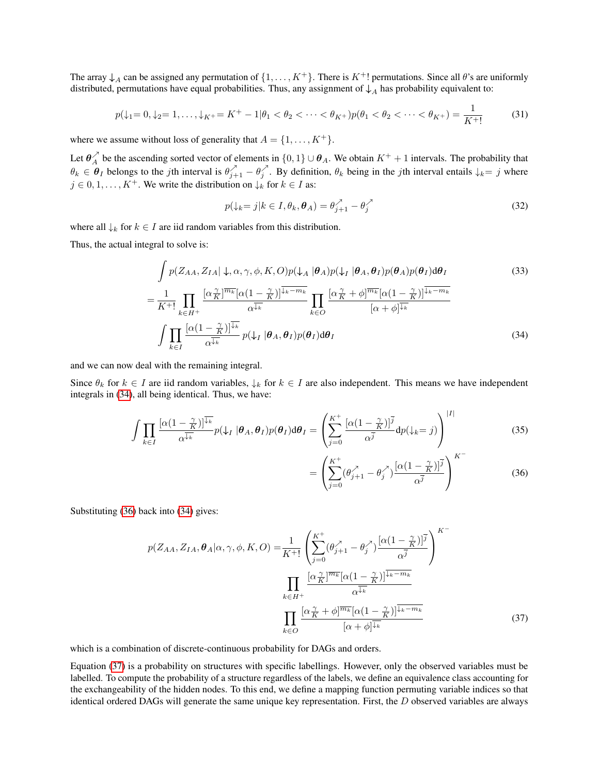The array  $\downarrow$ <sub>A</sub> can be assigned any permutation of  $\{1, \ldots, K^+\}$ . There is  $K^+!$  permutations. Since all  $\theta$ 's are uniformly distributed, permutations have equal probabilities. Thus, any assignment of  $\downarrow$ <sub>A</sub> has probability equivalent to:

$$
p(\downarrow_1=0,\downarrow_2=1,\ldots,\downarrow_K=K^+-1|\theta_1<\theta_2<\cdots<\theta_{K^+})p(\theta_1<\theta_2<\cdots<\theta_{K^+})=\frac{1}{K^+!}
$$
(31)

where we assume without loss of generality that  $A = \{1, \ldots, K^+\}.$ 

Let  $\theta_A^{\lambda}$  be the ascending sorted vector of elements in  $\{0,1\}\cup\theta_A$ . We obtain  $K^++1$  intervals. The probability that  $\theta_k \in \theta_I$  belongs to the jth interval is  $\theta_{j+1}^{\lambda} - \theta_j^{\lambda}$ . By definition,  $\theta_k$  being in the jth interval entails  $\downarrow_k = j$  where  $j \in {0, 1, \ldots, K^+}$ . We write the distribution on  $\downarrow_k$  for  $k \in I$  as:

$$
p(\downarrow_k = j | k \in I, \theta_k, \boldsymbol{\theta}_A) = \theta_{j+1}^{\nearrow} - \theta_j^{\nearrow}
$$
\n(32)

where all  $\downarrow_k$  for  $k \in I$  are iid random variables from this distribution.

Thus, the actual integral to solve is:

$$
\int p(Z_{AA}, Z_{IA} | \downarrow, \alpha, \gamma, \phi, K, O)p(\downarrow_A |\theta_A) p(\downarrow_I |\theta_A, \theta_I) p(\theta_A) p(\theta_I) d\theta_I
$$
\n
$$
= \frac{1}{K^+!} \prod_{k \in H^+} \frac{\left[\alpha \frac{\gamma}{K}\right]^{\overline{m_k}} [\alpha(1 - \frac{\gamma}{K})]^{\overline{\downarrow_k - m_k}}}{\alpha^{\overline{\downarrow_k}}} \prod_{k \in O} \frac{\left[\alpha \frac{\gamma}{K} + \phi\right]^{\overline{m_k}} [\alpha(1 - \frac{\gamma}{K})]^{\overline{\downarrow_k - m_k}}}{[\alpha + \phi]^{\overline{\downarrow_k}}}
$$
\n
$$
\int \prod_{k \in I} \frac{\left[\alpha(1 - \frac{\gamma}{K})\right]^{\overline{\downarrow_k}}}{\alpha^{\overline{\downarrow_k}}} p(\downarrow_I |\theta_A, \theta_I) p(\theta_I) d\theta_I
$$
\n(34)

and we can now deal with the remaining integral.

Since  $\theta_k$  for  $k \in I$  are iid random variables,  $\downarrow_k$  for  $k \in I$  are also independent. This means we have independent integrals in [\(34\)](#page-10-0), all being identical. Thus, we have:

$$
\int \prod_{k \in I} \frac{\left[\alpha(1 - \frac{\gamma}{K})\right]^{\overline{\downarrow_k}}}{\alpha^{\overline{\downarrow_k}}} p(\downarrow_I | \boldsymbol{\theta}_A, \boldsymbol{\theta}_I) p(\boldsymbol{\theta}_I) d\boldsymbol{\theta}_I = \left( \sum_{j=0}^{K^+} \frac{\left[\alpha(1 - \frac{\gamma}{K})\right]^{\overline{j}}}{\alpha^{\overline{j}}} dp(\downarrow_k = j) \right)^{|I|}
$$
(35)

<span id="page-10-2"></span><span id="page-10-1"></span><span id="page-10-0"></span>
$$
= \left(\sum_{j=0}^{K^+} (\theta_{j+1}^{\lambda} - \theta_j^{\lambda}) \frac{[\alpha(1-\frac{\gamma}{K})]^{\overline{j}}}{\alpha^{\overline{j}}}\right)^{K^-} \tag{36}
$$

Substituting [\(36\)](#page-10-1) back into [\(34\)](#page-10-0) gives:

$$
p(Z_{AA}, Z_{IA}, \theta_A | \alpha, \gamma, \phi, K, O) = \frac{1}{K^{+}} \left( \sum_{j=0}^{K^{+}} (\theta_{j+1}^{\gamma} - \theta_j^{\gamma}) \frac{[\alpha (1 - \frac{\gamma}{K})]^{\overline{j}}}{\alpha^{\overline{j}}} \right)^{K^{-}}
$$

$$
\prod_{k \in H^{+}} \frac{[\alpha_K^{\gamma}]^{\overline{m_k}} [\alpha (1 - \frac{\gamma}{K})]^{\overline{j_k - m_k}}}{\alpha^{\overline{j_k}}}
$$

$$
\prod_{k \in O} \frac{[\alpha_K^{\gamma} + \phi]^{\overline{m_k}} [\alpha (1 - \frac{\gamma}{K})]^{\overline{j_k - m_k}}}{[\alpha + \phi]^{\overline{j_k}}}
$$
(37)

which is a combination of discrete-continuous probability for DAGs and orders.

Equation [\(37\)](#page-10-2) is a probability on structures with specific labellings. However, only the observed variables must be labelled. To compute the probability of a structure regardless of the labels, we define an equivalence class accounting for the exchangeability of the hidden nodes. To this end, we define a mapping function permuting variable indices so that identical ordered DAGs will generate the same unique key representation. First, the D observed variables are always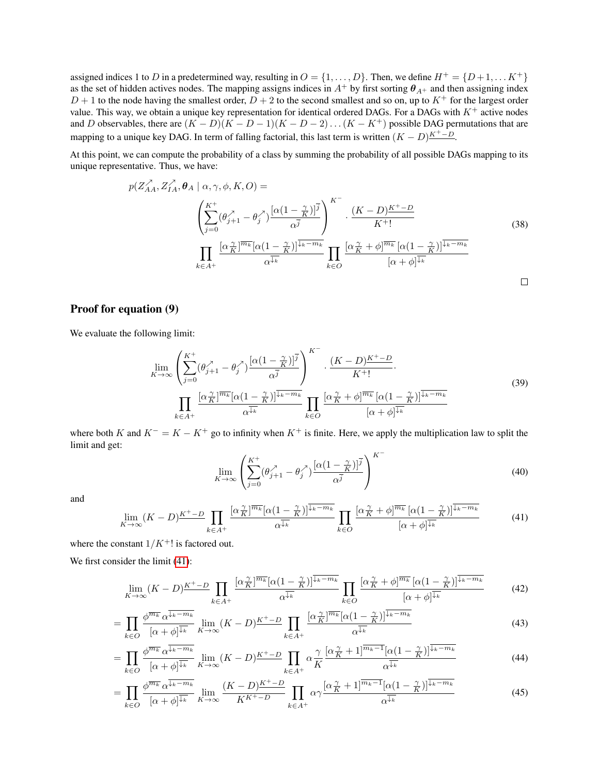assigned indices 1 to D in a predetermined way, resulting in  $O = \{1, \ldots, D\}$ . Then, we define  $H^+ = \{D+1, \ldots K^+\}$ as the set of hidden actives nodes. The mapping assigns indices in  $A^+$  by first sorting  $\theta_{A^+}$  and then assigning index  $D + 1$  to the node having the smallest order,  $D + 2$  to the second smallest and so on, up to  $K^+$  for the largest order value. This way, we obtain a unique key representation for identical ordered DAGs. For a DAGs with  $K^+$  active nodes and D observables, there are  $(K - D)(K - D - 1)(K - D - 2)...(K - K^{+})$  possible DAG permutations that are mapping to a unique key DAG. In term of falling factorial, this last term is written  $(K - D)^{K^+ - D}$ .

At this point, we can compute the probability of a class by summing the probability of all possible DAGs mapping to its unique representative. Thus, we have:

$$
p(Z_{AA}^{\lambda}, Z_{IA}^{\lambda}, \theta_A | \alpha, \gamma, \phi, K, O) =
$$
\n
$$
\left(\sum_{j=0}^{K^{+}} (\theta_{j+1}^{\lambda} - \theta_{j}^{\lambda}) \frac{[\alpha(1 - \frac{\gamma}{K})]^{\overline{j}}}{\alpha^{\overline{j}}}\right)^{K^{-}} \cdot \frac{(K - D)^{K^{+} - D}}{K^{+}!}
$$
\n
$$
\prod_{k \in A^{+}} \frac{[\alpha \frac{\gamma}{K}]^{\overline{m_{k}}} [\alpha(1 - \frac{\gamma}{K})]^{\overline{\downarrow_{k} - m_{k}}}}{\alpha^{\overline{\downarrow_{k}}}} \prod_{k \in O} \frac{[\alpha \frac{\gamma}{K} + \phi]^{\overline{m_{k}}} [\alpha(1 - \frac{\gamma}{K})]^{\overline{\downarrow_{k} - m_{k}}}}{[\alpha + \phi]^{\overline{\downarrow_{k}}}}
$$
\n(38)

### Proof for equation (9)

We evaluate the following limit:

$$
\lim_{K \to \infty} \left( \sum_{j=0}^{K^{+}} (\theta_{j+1}^{\lambda} - \theta_{j}^{\lambda}) \frac{\left[ \alpha (1 - \frac{\gamma}{K}) \right]^{\overline{j}}}{\alpha^{\overline{j}}} \right)^{K^{-}} \cdot \frac{(K - D)^{K^{+} - D}}{K^{+}!} \cdot \frac{(K - D)^{K^{+} - D}}{K^{+}!} \cdot \prod_{k \in A^{+}} \frac{\left[ \alpha \frac{\gamma}{K} \right]^{\overline{m_{k}}} \left[ \alpha (1 - \frac{\gamma}{K}) \right]^{\overline{\downarrow}_{k} - m_{k}}}{\alpha^{\overline{\downarrow}_{k}}} \prod_{k \in O} \frac{\left[ \alpha \frac{\gamma}{K} + \phi \right]^{\overline{m_{k}}} \left[ \alpha (1 - \frac{\gamma}{K}) \right]^{\overline{\downarrow}_{k} - m_{k}}}{\left[ \alpha + \phi \right]^{\overline{\downarrow}_{k}}} \tag{39}
$$

where both K and  $K^- = K - K^+$  go to infinity when  $K^+$  is finite. Here, we apply the multiplication law to split the limit and get:

<span id="page-11-4"></span><span id="page-11-3"></span><span id="page-11-2"></span><span id="page-11-1"></span>
$$
\lim_{K \to \infty} \left( \sum_{j=0}^{K^+} (\theta_{j+1}^{\lambda} - \theta_j^{\lambda}) \frac{[\alpha (1 - \frac{\gamma}{K})]^{\overline{j}}}{\alpha^{\overline{j}}} \right)^{K^-}
$$
(40)

and

<span id="page-11-0"></span>
$$
\lim_{K \to \infty} (K - D)^{K^{+} - D} \prod_{k \in A^{+}} \frac{\left[ \alpha \frac{\gamma}{K} \right]^{\overline{m_k}} [\alpha (1 - \frac{\gamma}{K})]^{\overline{\downarrow_k - m_k}}}{\alpha^{\overline{\downarrow_k}}} \prod_{k \in O} \frac{\left[ \alpha \frac{\gamma}{K} + \phi \right]^{\overline{m_k}} [\alpha (1 - \frac{\gamma}{K})]^{\overline{\downarrow_k - m_k}}}{[\alpha + \phi]^{\overline{\downarrow_k}}} \tag{41}
$$

where the constant  $1/K^+!$  is factored out.

We first consider the limit  $(41)$ :

$$
\lim_{K \to \infty} (K - D)^{K^{+} - D} \prod_{k \in A^{+}} \frac{\left[ \alpha \frac{\gamma}{K} \right]^{\overline{m_{k}}} [\alpha (1 - \frac{\gamma}{K})]^{\overline{\downarrow_{k} - m_{k}}}}{\alpha^{\overline{\downarrow_{k}}}} \prod_{k \in O} \frac{\left[ \alpha \frac{\gamma}{K} + \phi \right]^{\overline{m_{k}}} [\alpha (1 - \frac{\gamma}{K})]^{\overline{\downarrow_{k} - m_{k}}}}{\left[ \alpha + \phi \right]^{\overline{\downarrow_{k}}}} \tag{42}
$$

$$
= \prod_{k \in O} \frac{\phi^{\overline{m_k}} \alpha^{\overline{\downarrow_k - m_k}}}{[\alpha + \phi]^{\overline{\downarrow_k}} \ K \to \infty} (\overline{K} - D)^{\underline{K^+} - D} \prod_{k \in A^+} \frac{[\alpha_K^{\underline{\gamma}}]^{\overline{m_k}} [\alpha (1 - \frac{\gamma}{K})]^{\overline{\downarrow_k - m_k}}}{\alpha^{\overline{\downarrow_k}}} \tag{43}
$$

$$
= \prod_{k \in O} \frac{\phi^{\overline{m_k}} \alpha^{\overline{\downarrow_k - m_k}}}{[\alpha + \phi]^{\overline{\downarrow_k}}} \lim_{K \to \infty} (K - D)^{K^+ - D} \prod_{k \in A^+} \alpha \frac{\gamma}{K} \frac{[\alpha \frac{\gamma}{K} + 1]^{\overline{m_k - 1}} [\alpha (1 - \frac{\gamma}{K})]^{\overline{\downarrow_k - m_k}}}{\alpha^{\overline{\downarrow_k}}} \tag{44}
$$

$$
= \prod_{k \in O} \frac{\phi^{\overline{m_k}} \alpha^{\overline{\downarrow_k - m_k}}}{[\alpha + \phi]^{\overline{\downarrow_k}}} \lim_{K \to \infty} \frac{(K - D)^{K^+ - D}}{K^{K^+ - D}} \prod_{k \in A^+} \alpha \gamma \frac{[\alpha \frac{\gamma}{K} + 1]^{\overline{m_k - 1}} [\alpha (1 - \frac{\gamma}{K})]^{\overline{\downarrow_k - m_k}}}{\alpha^{\overline{\downarrow_k}}} \tag{45}
$$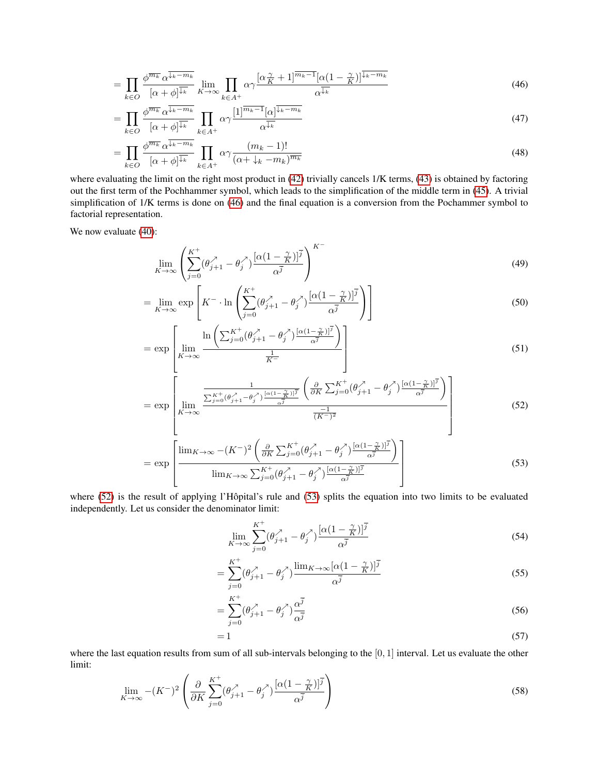$$
= \prod_{k \in O} \frac{\phi^{\overline{m_k}} \alpha^{\overline{\downarrow_k - m_k}}}{[\alpha + \phi]^{\overline{\downarrow_k}} \ K \to \infty} \prod_{k \in A^+} \alpha \gamma \frac{[\alpha \frac{\gamma}{K} + 1]^{\overline{m_k - 1}} [\alpha (1 - \frac{\gamma}{K})]^{\overline{\downarrow_k - m_k}}}{\alpha^{\overline{\downarrow_k}}} \tag{46}
$$

$$
= \prod_{k \in O} \frac{\phi^{\overline{m_k}} \alpha^{\overline{\downarrow_k - m_k}}}{[\alpha + \phi]^{\overline{\downarrow_k}}} \prod_{k \in A^+} \alpha \gamma \frac{[1]^{\overline{m_k - 1}} [\alpha]^{\overline{\downarrow_k - m_k}}}{\alpha^{\overline{\downarrow_k}}} \tag{47}
$$

$$
= \prod_{k \in O} \frac{\phi^{\overline{m_k}} \alpha^{\overline{\downarrow_k - m_k}}}{[\alpha + \phi]^{\overline{\downarrow_k}}} \prod_{k \in A^+} \alpha \gamma \frac{(m_k - 1)!}{(\alpha + \downarrow_k - m_k)^{\overline{m_k}}}
$$
(48)

where evaluating the limit on the right most product in [\(42\)](#page-11-1) trivially cancels  $1/K$  terms, [\(43\)](#page-11-2) is obtained by factoring out the first term of the Pochhammer symbol, which leads to the simplification of the middle term in [\(45\)](#page-11-3). A trivial simplification of 1/K terms is done on [\(46\)](#page-12-0) and the final equation is a conversion from the Pochammer symbol to factorial representation.

We now evaluate  $(40)$ :

<span id="page-12-0"></span>
$$
\lim_{K \to \infty} \left( \sum_{j=0}^{K^+} (\theta_{j+1}^{\lambda} - \theta_j^{\lambda}) \frac{[\alpha (1 - \frac{\gamma}{K})]^{\overline{j}}}{\alpha^{\overline{j}}} \right)^{K^-}
$$
\n(49)

$$
= \lim_{K \to \infty} \exp\left[K^{-} \cdot \ln\left(\sum_{j=0}^{K^{+}} (\theta_{j+1}^{\lambda} - \theta_{j}^{\lambda}) \frac{[\alpha(1 - \frac{\gamma}{K})]^{\overline{j}}}{\alpha^{\overline{j}}}\right)\right]
$$
(50)

$$
= \exp\left[\lim_{K \to \infty} \frac{\ln\left(\sum_{j=0}^{K^+} (\theta_{j+1}^{\lambda} - \theta_j^{\lambda}) \frac{\left[\alpha(1-\frac{\gamma}{K})\right]^{\overline{j}}}{\alpha^{\overline{j}}}\right)}{\frac{1}{K^-}}\right]
$$
(51)

$$
= \exp\left[\lim_{K\to\infty} \frac{\frac{1}{\sum_{j=0}^{K^+}(\theta_{j+1}^{\lambda}-\theta_{j}^{\lambda})\frac{[\alpha(1-\frac{\gamma}{K})]^{\overline{j}}}{\alpha^{\overline{j}}}} \left(\frac{\partial}{\partial K} \sum_{j=0}^{K^+}(\theta_{j+1}^{\lambda}-\theta_{j}^{\lambda})\frac{[\alpha(1-\frac{\gamma}{K})]^{\overline{j}}}{\alpha^{\overline{j}}}\right)}{(\overline{K}^{-})^2}\right]
$$
(52)

$$
= \exp\left[\frac{\lim_{K\to\infty} -(K^-)^2 \left(\frac{\partial}{\partial K} \sum_{j=0}^{K^+} (\theta_{j+1}^{\lambda} - \theta_j^{\lambda}) \frac{[\alpha(1-\frac{\gamma}{K})]^{\bar{j}}}{\alpha^{\bar{j}}}\right)}{\lim_{K\to\infty} \sum_{j=0}^{K^+} (\theta_{j+1}^{\lambda} - \theta_j^{\lambda}) \frac{[\alpha(1-\frac{\gamma}{K})]^{\bar{j}}}{\alpha^{\bar{j}}}}\right]
$$
(53)

where  $(52)$  is the result of applying l'Hôpital's rule and  $(53)$  splits the equation into two limits to be evaluated independently. Let us consider the denominator limit:

<span id="page-12-2"></span><span id="page-12-1"></span>
$$
\lim_{K \to \infty} \sum_{j=0}^{K^+} (\theta_{j+1}^{\lambda} - \theta_j^{\lambda}) \frac{[\alpha(1 - \frac{\gamma}{K})]^{\overline{j}}}{\alpha^{\overline{j}}} \tag{54}
$$

$$
=\sum_{j=0}^{K^{+}}(\theta_{j+1}^{\lambda}-\theta_{j}^{\lambda})\frac{\lim_{K\to\infty}[\alpha(1-\frac{\gamma}{K})]^{\overline{j}}}{\alpha^{\overline{j}}}
$$
\n(55)

$$
=\sum_{j=0}^{K^+} (\theta_{j+1}^{\lambda} - \theta_j^{\lambda}) \frac{\alpha^{\overline{j}}}{\alpha^{\overline{j}}}
$$
\n(56)

$$
=1\tag{57}
$$

where the last equation results from sum of all sub-intervals belonging to the  $[0, 1]$  interval. Let us evaluate the other limit:

$$
\lim_{K \to \infty} -(K^{-})^2 \left( \frac{\partial}{\partial K} \sum_{j=0}^{K^{+}} (\theta_{j+1}^{\lambda} - \theta_j^{\lambda}) \frac{[\alpha (1 - \frac{\gamma}{K})]^{\overline{j}}}{\alpha^{\overline{j}}} \right)
$$
(58)